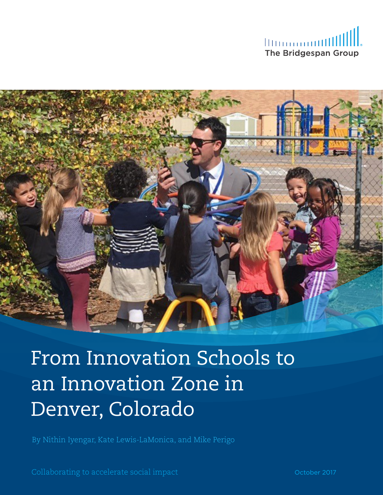



From Innovation Schools to an Innovation Zone in Denver, Colorado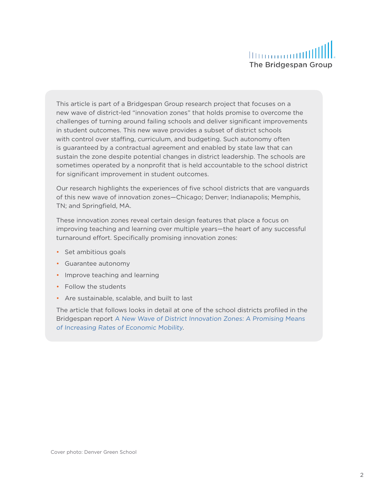This article is part of a Bridgespan Group research project that focuses on a new wave of district-led "innovation zones" that holds promise to overcome the challenges of turning around failing schools and deliver significant improvements in student outcomes. This new wave provides a subset of district schools with control over staffing, curriculum, and budgeting. Such autonomy often is guaranteed by a contractual agreement and enabled by state law that can sustain the zone despite potential changes in district leadership. The schools are sometimes operated by a nonprofit that is held accountable to the school district for significant improvement in student outcomes.

Our research highlights the experiences of five school districts that are vanguards of this new wave of innovation zones—Chicago; Denver; Indianapolis; Memphis, TN; and Springfield, MA.

These innovation zones reveal certain design features that place a focus on improving teaching and learning over multiple years—the heart of any successful turnaround effort. Specifically promising innovation zones:

- Set ambitious goals
- Guarantee autonomy
- Improve teaching and learning
- Follow the students
- Are sustainable, scalable, and built to last

The article that follows looks in detail at one of the school districts profiled in the Bridgespan report [A New Wave of District Innovation Zones: A Promising Means](https://www.bridgespan.org/insights/library/education/district-innovation-zones-and-economic-mobility)  [of Increasing Rates of Economic Mobility](https://www.bridgespan.org/insights/library/education/district-innovation-zones-and-economic-mobility)*.*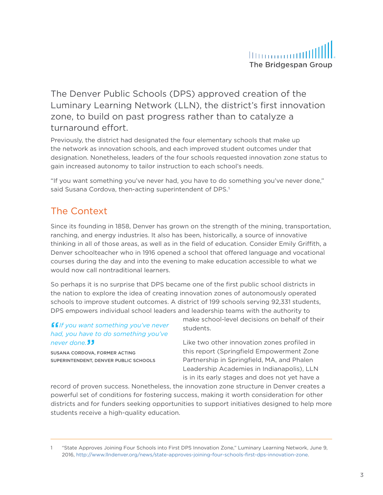

The Denver Public Schools (DPS) approved creation of the Luminary Learning Network (LLN), the district's first innovation zone, to build on past progress rather than to catalyze a turnaround effort.

Previously, the district had designated the four elementary schools that make up the network as innovation schools, and each improved student outcomes under that designation. Nonetheless, leaders of the four schools requested innovation zone status to gain increased autonomy to tailor instruction to each school's needs.

"If you want something you've never had, you have to do something you've never done," said Susana Cordova, then-acting superintendent of DPS.<sup>1</sup>

## The Context

Since its founding in 1858, Denver has grown on the strength of the mining, transportation, ranching, and energy industries. It also has been, historically, a source of innovative thinking in all of those areas, as well as in the field of education. Consider Emily Griffith, a Denver schoolteacher who in 1916 opened a school that offered language and vocational courses during the day and into the evening to make education accessible to what we would now call nontraditional learners.

So perhaps it is no surprise that DPS became one of the first public school districts in the nation to explore the idea of creating innovation zones of autonomously operated schools to improve student outcomes. A district of 199 schools serving 92,331 students, DPS empowers individual school leaders and leadership teams with the authority to

''*If you want something you've never had, you have to do something you've*  ne*ver done.* JJ<br>susana corbova,

SUSANA CORDOVA, FORMER ACTING SUPERINTENDENT, DENVER PUBLIC SCHOOLS make school-level decisions on behalf of their students.

Like two other innovation zones profiled in this report (Springfield Empowerment Zone Partnership in Springfield, MA, and Phalen Leadership Academies in Indianapolis), LLN is in its early stages and does not yet have a

record of proven success. Nonetheless, the innovation zone structure in Denver creates a powerful set of conditions for fostering success, making it worth consideration for other districts and for funders seeking opportunities to support initiatives designed to help more students receive a high-quality education.

<sup>1</sup> "State Approves Joining Four Schools into First DPS Innovation Zone," Luminary Learning Network, June 9, 2016[, http://www.llndenver.org/news/state-approves-joining-four-schools-first-dps-innovation-zone](http://www.llndenver.org/news/state-approves-joining-four-schools-first-dps-innovation-zone).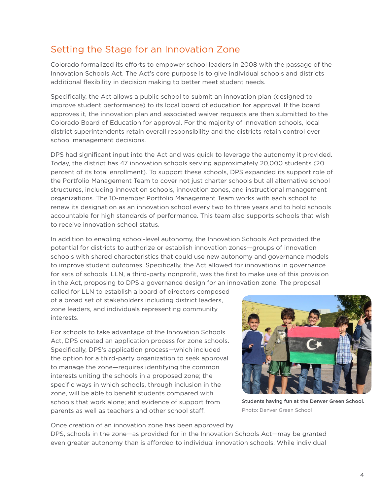# Setting the Stage for an Innovation Zone

Colorado formalized its efforts to empower school leaders in 2008 with the passage of the Innovation Schools Act. The Act's core purpose is to give individual schools and districts additional flexibility in decision making to better meet student needs.

Specifically, the Act allows a public school to submit an innovation plan (designed to improve student performance) to its local board of education for approval. If the board approves it, the innovation plan and associated waiver requests are then submitted to the Colorado Board of Education for approval. For the majority of innovation schools, local district superintendents retain overall responsibility and the districts retain control over school management decisions.

DPS had significant input into the Act and was quick to leverage the autonomy it provided. Today, the district has 47 innovation schools serving approximately 20,000 students (20 percent of its total enrollment). To support these schools, DPS expanded its support role of the Portfolio Management Team to cover not just charter schools but all alternative school structures, including innovation schools, innovation zones, and instructional management organizations. The 10-member Portfolio Management Team works with each school to renew its designation as an innovation school every two to three years and to hold schools accountable for high standards of performance. This team also supports schools that wish to receive innovation school status.

In addition to enabling school-level autonomy, the Innovation Schools Act provided the potential for districts to authorize or establish innovation zones—groups of innovation schools with shared characteristics that could use new autonomy and governance models to improve student outcomes. Specifically, the Act allowed for innovations in governance for sets of schools. LLN, a third-party nonprofit, was the first to make use of this provision in the Act, proposing to DPS a governance design for an innovation zone. The proposal

called for LLN to establish a board of directors composed of a broad set of stakeholders including district leaders, zone leaders, and individuals representing community interests.

For schools to take advantage of the Innovation Schools Act, DPS created an application process for zone schools. Specifically, DPS's application process—which included the option for a third-party organization to seek approval to manage the zone—requires identifying the common interests uniting the schools in a proposed zone; the specific ways in which schools, through inclusion in the zone, will be able to benefit students compared with schools that work alone; and evidence of support from parents as well as teachers and other school staff.



Students having fun at the Denver Green School. Photo: Denver Green School

Once creation of an innovation zone has been approved by DPS, schools in the zone—as provided for in the Innovation Schools Act—may be granted even greater autonomy than is afforded to individual innovation schools. While individual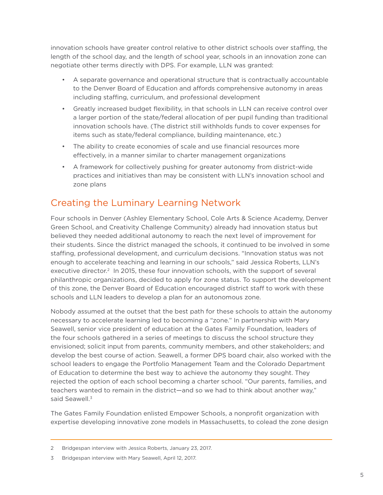innovation schools have greater control relative to other district schools over staffing, the length of the school day, and the length of school year, schools in an innovation zone can negotiate other terms directly with DPS. For example, LLN was granted:

- A separate governance and operational structure that is contractually accountable to the Denver Board of Education and affords comprehensive autonomy in areas including staffing, curriculum, and professional development
- Greatly increased budget flexibility, in that schools in LLN can receive control over a larger portion of the state/federal allocation of per pupil funding than traditional innovation schools have. (The district still withholds funds to cover expenses for items such as state/federal compliance, building maintenance, etc.)
- The ability to create economies of scale and use financial resources more effectively, in a manner similar to charter management organizations
- A framework for collectively pushing for greater autonomy from district-wide practices and initiatives than may be consistent with LLN's innovation school and zone plans

# Creating the Luminary Learning Network

Four schools in Denver (Ashley Elementary School, Cole Arts & Science Academy, Denver Green School, and Creativity Challenge Community) already had innovation status but believed they needed additional autonomy to reach the next level of improvement for their students. Since the district managed the schools, it continued to be involved in some staffing, professional development, and curriculum decisions. "Innovation status was not enough to accelerate teaching and learning in our schools," said Jessica Roberts, LLN's executive director.<sup>2</sup> In 2015, these four innovation schools, with the support of several philanthropic organizations, decided to apply for zone status. To support the development of this zone, the Denver Board of Education encouraged district staff to work with these schools and LLN leaders to develop a plan for an autonomous zone.

Nobody assumed at the outset that the best path for these schools to attain the autonomy necessary to accelerate learning led to becoming a "zone." In partnership with Mary Seawell, senior vice president of education at the Gates Family Foundation, leaders of the four schools gathered in a series of meetings to discuss the school structure they envisioned; solicit input from parents, community members, and other stakeholders; and develop the best course of action. Seawell, a former DPS board chair, also worked with the school leaders to engage the Portfolio Management Team and the Colorado Department of Education to determine the best way to achieve the autonomy they sought. They rejected the option of each school becoming a charter school. "Our parents, families, and teachers wanted to remain in the district—and so we had to think about another way," said Seawell.<sup>3</sup>

The Gates Family Foundation enlisted Empower Schools, a nonprofit organization with expertise developing innovative zone models in Massachusetts, to colead the zone design

<sup>2</sup> Bridgespan interview with Jessica Roberts, January 23, 2017.

<sup>3</sup> Bridgespan interview with Mary Seawell, April 12, 2017.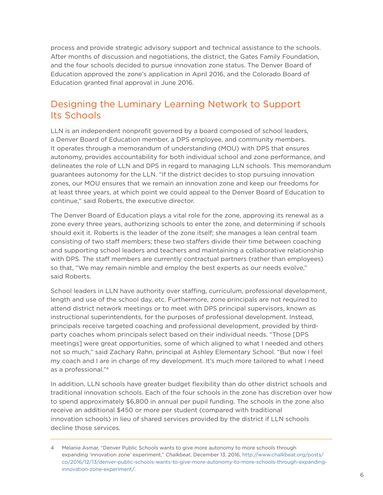process and provide strategic advisory support and technical assistance to the schools. After months of discussion and negotiations, the district, the Gates Family Foundation, and the four schools decided to pursue innovation zone status. The Denver Board of Education approved the zone's application in April 2016, and the Colorado Board of Education granted final approval in June 2016.

### Designing the Luminary Learning Network to Support Its Schools

LLN is an independent nonprofit governed by a board composed of school leaders, a Denver Board of Education member, a DPS employee, and community members. It operates through a memorandum of understanding (MOU) with DPS that ensures autonomy, provides accountability for both individual school and zone performance, and delineates the role of LLN and DPS in regard to managing LLN schools. This memorandum guarantees autonomy for the LLN. "If the district decides to stop pursuing innovation zones, our MOU ensures that we remain an innovation zone and keep our freedoms for at least three years, at which point we could appeal to the Denver Board of Education to continue," said Roberts, the executive director.

The Denver Board of Education plays a vital role for the zone, approving its renewal as a zone every three years, authorizing schools to enter the zone, and determining if schools should exit it. Roberts is the leader of the zone itself; she manages a lean central team consisting of two staff members; these two staffers divide their time between coaching and supporting school leaders and teachers and maintaining a collaborative relationship with DPS. The staff members are currently contractual partners (rather than employees) so that, "We may remain nimble and employ the best experts as our needs evolve," said Roberts.

School leaders in LLN have authority over staffing, curriculum, professional development, length and use of the school day, etc. Furthermore, zone principals are not required to attend district network meetings or to meet with DPS principal supervisors, known as instructional superintendents, for the purposes of professional development. Instead, principals receive targeted coaching and professional development, provided by thirdparty coaches whom principals select based on their individual needs. "Those [DPS meetings] were great opportunities, some of which aligned to what I needed and others not so much," said Zachary Rahn, principal at Ashley Elementary School. "But now I feel my coach and I are in charge of my development. It's much more tailored to what I need as a professional."4

In addition, LLN schools have greater budget flexibility than do other district schools and traditional innovation schools. Each of the four schools in the zone has discretion over how to spend approximately \$6,800 in annual per pupil funding. The schools in the zone also receive an additional \$450 or more per student (compared with traditional innovation schools) in lieu of shared services provided by the district if LLN schools decline those services.

<sup>4</sup> Melanie Asmar, "Denver Public Schools wants to give more autonomy to more schools through expanding 'innovation zone' experiment," *Chalkbeat*, December 13, 2016, [http://www.chalkbeat.org/posts/](http://www.chalkbeat.org/posts/co/2016/12/13/denver-public-schools-wants-to-give-more-autonomy-to-more-schools-through-expanding-innovation-zone-experiment/.) [co/2016/12/13/denver-public-schools-wants-to-give-more-autonomy-to-more-schools-through-expanding](http://www.chalkbeat.org/posts/co/2016/12/13/denver-public-schools-wants-to-give-more-autonomy-to-more-schools-through-expanding-innovation-zone-experiment/.)[innovation-zone-experiment/.](http://www.chalkbeat.org/posts/co/2016/12/13/denver-public-schools-wants-to-give-more-autonomy-to-more-schools-through-expanding-innovation-zone-experiment/.)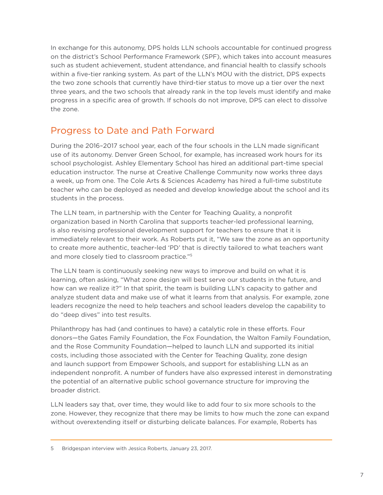In exchange for this autonomy, DPS holds LLN schools accountable for continued progress on the district's School Performance Framework (SPF), which takes into account measures such as student achievement, student attendance, and financial health to classify schools within a five-tier ranking system. As part of the LLN's MOU with the district, DPS expects the two zone schools that currently have third-tier status to move up a tier over the next three years, and the two schools that already rank in the top levels must identify and make progress in a specific area of growth. If schools do not improve, DPS can elect to dissolve the zone.

## Progress to Date and Path Forward

During the 2016–2017 school year, each of the four schools in the LLN made significant use of its autonomy. Denver Green School, for example, has increased work hours for its school psychologist. Ashley Elementary School has hired an additional part-time special education instructor. The nurse at Creative Challenge Community now works three days a week, up from one. The Cole Arts & Sciences Academy has hired a full-time substitute teacher who can be deployed as needed and develop knowledge about the school and its students in the process.

The LLN team, in partnership with the Center for Teaching Quality, a nonprofit organization based in North Carolina that supports teacher-led professional learning, is also revising professional development support for teachers to ensure that it is immediately relevant to their work. As Roberts put it, "We saw the zone as an opportunity to create more authentic, teacher-led 'PD' that is directly tailored to what teachers want and more closely tied to classroom practice."5

The LLN team is continuously seeking new ways to improve and build on what it is learning, often asking, "What zone design will best serve our students in the future, and how can we realize it?" In that spirit, the team is building LLN's capacity to gather and analyze student data and make use of what it learns from that analysis. For example, zone leaders recognize the need to help teachers and school leaders develop the capability to do "deep dives" into test results.

Philanthropy has had (and continues to have) a catalytic role in these efforts. Four donors—the Gates Family Foundation, the Fox Foundation, the Walton Family Foundation, and the Rose Community Foundation—helped to launch LLN and supported its initial costs, including those associated with the Center for Teaching Quality, zone design and launch support from Empower Schools, and support for establishing LLN as an independent nonprofit. A number of funders have also expressed interest in demonstrating the potential of an alternative public school governance structure for improving the broader district.

LLN leaders say that, over time, they would like to add four to six more schools to the zone. However, they recognize that there may be limits to how much the zone can expand without overextending itself or disturbing delicate balances. For example, Roberts has

Bridgespan interview with Jessica Roberts, January 23, 2017.